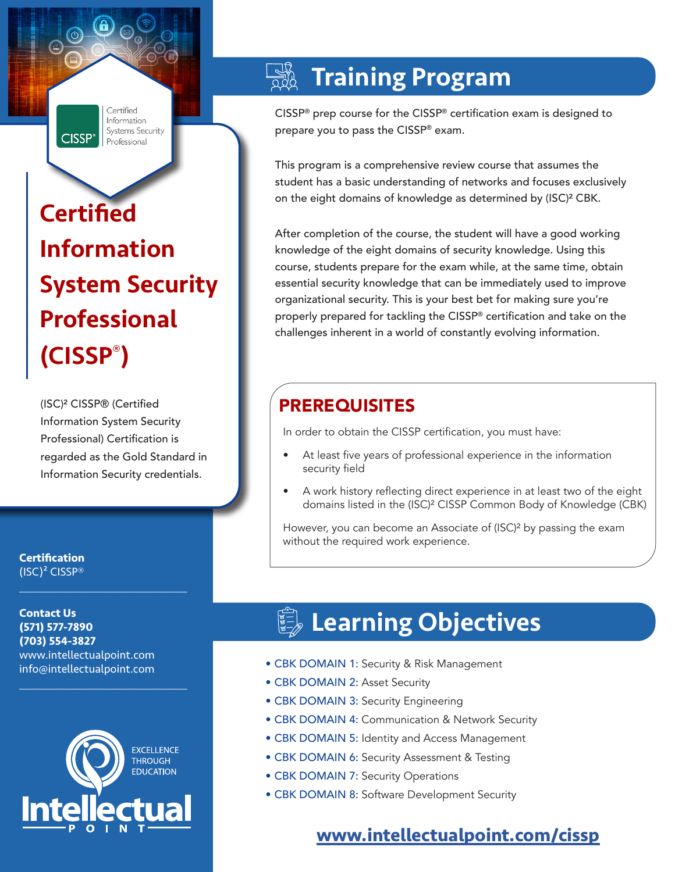Certified **Information** Systems Security **CISSP<sup>®</sup>** Professional

# **Certified** Information System Security Professional (CISSP® )

(ISC)² CISSP® (Certified Information System Security Professional) Certification is regarded as the Gold Standard in Information Security credentials.

**Certification** (ISC)² CISSP®

**Contact Us (571) 577-7890 (703) 554-3827** www.intellectualpoint.com info@intellectualpoint.com

 $\mathcal{L}_\text{max}$  and  $\mathcal{L}_\text{max}$  and  $\mathcal{L}_\text{max}$  and  $\mathcal{L}_\text{max}$ 

 $\mathcal{L}_\text{max}$  , and the set of the set of the set of the set of the set of the set of the set of the set of the set of the set of the set of the set of the set of the set of the set of the set of the set of the set of the



## Training Program

CISSP® prep course for the CISSP® certification exam is designed to prepare you to pass the CISSP® exam.

This program is a comprehensive review course that assumes the student has a basic understanding of networks and focuses exclusively on the eight domains of knowledge as determined by (ISC)² CBK.

After completion of the course, the student will have a good working knowledge of the eight domains of security knowledge. Using this course, students prepare for the exam while, at the same time, obtain essential security knowledge that can be immediately used to improve organizational security. This is your best bet for making sure you're properly prepared for tackling the CISSP® certification and take on the challenges inherent in a world of constantly evolving information.

## PREREQUISITES

In order to obtain the CISSP certification, you must have:

- At least five years of professional experience in the information security field
- A work history reflecting direct experience in at least two of the eight domains listed in the (ISC)² CISSP Common Body of Knowledge (CBK)

However, you can become an Associate of (ISC)² by passing the exam without the required work experience.

## **ED** Learning Objectives

- CBK DOMAIN 1: Security & Risk Management
- CBK DOMAIN 2: Asset Security
- CBK DOMAIN 3: Security Engineering
- CBK DOMAIN 4: Communication & Network Security
- CBK DOMAIN 5: Identity and Access Management
- CBK DOMAIN 6: Security Assessment & Testing
- CBK DOMAIN 7: Security Operations
- CBK DOMAIN 8: Software Development Security

### **[www.intellectualpoint.com/cissp](https://www.intellectualpoint.com/cissp)**